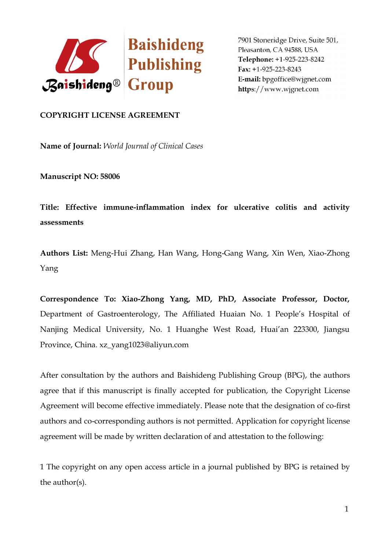

## **COPYRIGHT LICENSE AGREEMENT**

**Name of Journal:** *World Journal ofClinical Cases*

**Manuscript NO: 58006**

**Title: Effective immune-inflammation index forulcerative colitis and activity assessments**

**Authors List:** Meng-Hui Zhang, Han Wang, Hong-Gang Wang, Xin Wen, Xiao-Zhong Yang

**Correspondence To: Xiao-Zhong Yang, MD, PhD, Associate Professor, Doctor,** Department of Gastroenterology, The Affiliated Huaian No. 1 People's Hospital of Nanjing Medical University, No. 1 Huanghe West Road, Huai'an 223300, Jiangsu Province, China. xz\_yang1023@aliyun.com

After consultation by the authors and Baishideng Publishing Group (BPG), the authors agree that if this manuscript is finally accepted for publication, the Copyright License Agreement will become effective immediately. Please note that the designation of co-first authors and co-corresponding authors is not permitted. Application for copyright license agreement will be made by written declaration of and attestation to the following:

1 The copyright on any open accessarticle in a journal published by BPG is retained by the author(s).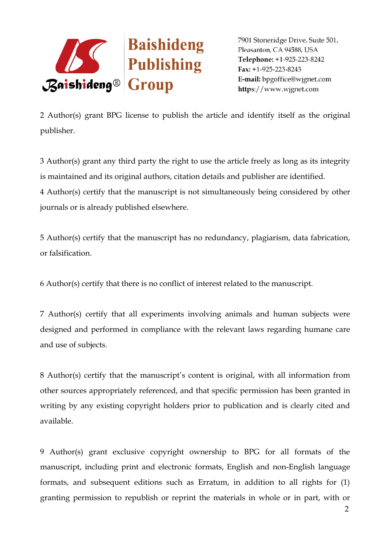

2 Author(s) grant BPG license to publish the article and identify itself as the original publisher.

3 Author(s) grant any third party the right to use the article freely as long as itsintegrity is maintained and its original authors, citation details and publisher are identified. 4 Author(s) certify that the manuscript is notsimultaneously being considered by other journals or is already published elsewhere.

5 Author(s) certify that the manuscript has no redundancy, plagiarism, data fabrication, or falsification.

6 Author(s) certify that there is no conflict of interest related to the manuscript.

7 Author(s) certify that all experiments involving animals and human subjects were designed and performed in compliance with the relevant laws regarding humane care

and use of subjects.<br>8 Author(s) certify that the manuscript's content is original, with all information from other sources appropriately referenced, and that specific permission has been granted in writing by any existing copyright holders prior to publication and is clearly cited and available.

9 Author(s) grant exclusive copyright ownership to BPG for all formats of the manuscript, including print and electronic formats, English and non-English language formats, and subsequent editions such as Erratum, in addition to all rights for (1) granting permission to republish or reprint the materials in whole or in part, with or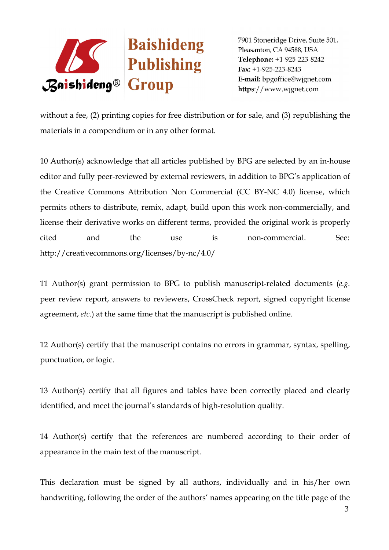

without a fee, (2) printing copies for free distribution or for sale, and (3) republishing the materials in a compendium or in any other format.

10 Author(s) acknowledge that all articles published by BPG are selected by an in-house editor and fully peer-reviewed by external reviewers, in addition to BPG's application of the Creative Commons Attribution Non Commercial (CC BY-NC 4.0) license, which permits others to distribute, remix, adapt, build upon this work non-commercially, and license their derivative works on different terms, provided the original work is properly cited and the use is non-commercial. See: http://creativecommons.org/licenses/by-nc/4.0/

11 Author(s) grant permission to BPG to publish manuscript-related documents (*e.g.* peer review report, answers to reviewers, CrossCheck report, signed copyright license agreement, *etc*.) at the same time that the manuscript is published online.

12 Author(s) certify that the manuscript contains no errors in grammar, syntax, spelling, punctuation, or logic.

13 Author(s) certify that all figures and tables have been correctly placed and clearly identified, and meet the journal's standards of high-resolution quality.

14 Author(s) certify that the references are numbered according to their order of appearance in the main text of the manuscript.

This declaration must be signed by all authors, individually and in his/her own handwriting, following the order of the authors' names appearing on the title page of the